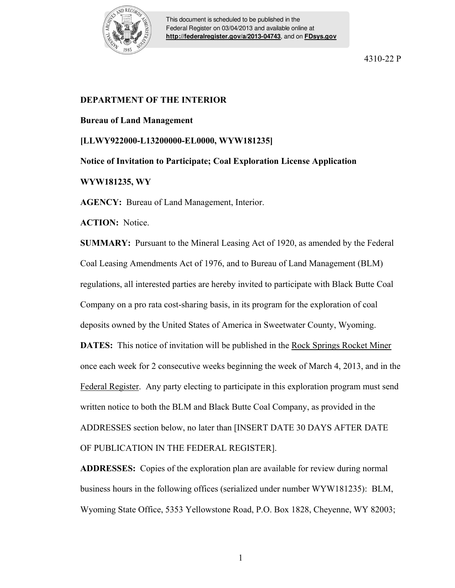

This document is scheduled to be published in the Federal Register on 03/04/2013 and available online at **<http://federalregister.gov/a/2013-04743>**, and on **[FDsys.gov](http://federalregister.gov/a/2013-04743.pdf)**

4310-22 P

## **DEPARTMENT OF THE INTERIOR**

## **Bureau of Land Management**

**[LLWY922000-L13200000-EL0000, WYW181235]** 

**Notice of Invitation to Participate; Coal Exploration License Application** 

## **WYW181235, WY**

**AGENCY:** Bureau of Land Management, Interior.

**ACTION:** Notice.

**SUMMARY:** Pursuant to the Mineral Leasing Act of 1920, as amended by the Federal Coal Leasing Amendments Act of 1976, and to Bureau of Land Management (BLM) regulations, all interested parties are hereby invited to participate with Black Butte Coal Company on a pro rata cost-sharing basis, in its program for the exploration of coal deposits owned by the United States of America in Sweetwater County, Wyoming. **DATES:** This notice of invitation will be published in the Rock Springs Rocket Miner once each week for 2 consecutive weeks beginning the week of March 4, 2013, and in the Federal Register. Any party electing to participate in this exploration program must send written notice to both the BLM and Black Butte Coal Company, as provided in the ADDRESSES section below, no later than [INSERT DATE 30 DAYS AFTER DATE

OF PUBLICATION IN THE FEDERAL REGISTER].

**ADDRESSES:** Copies of the exploration plan are available for review during normal business hours in the following offices (serialized under number WYW181235): BLM, Wyoming State Office, 5353 Yellowstone Road, P.O. Box 1828, Cheyenne, WY 82003;

1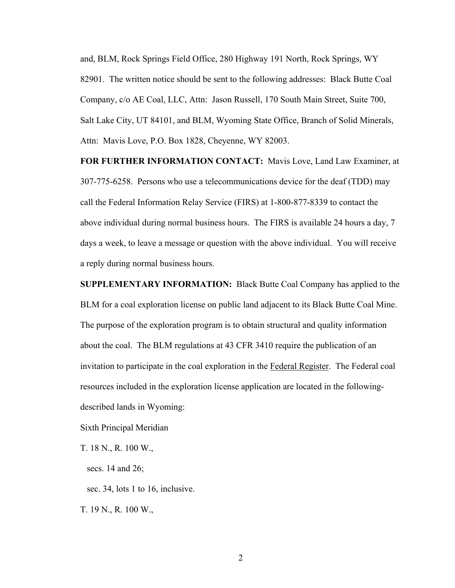and, BLM, Rock Springs Field Office, 280 Highway 191 North, Rock Springs, WY 82901. The written notice should be sent to the following addresses: Black Butte Coal Company, c/o AE Coal, LLC, Attn: Jason Russell, 170 South Main Street, Suite 700, Salt Lake City, UT 84101, and BLM, Wyoming State Office, Branch of Solid Minerals, Attn: Mavis Love, P.O. Box 1828, Cheyenne, WY 82003.

**FOR FURTHER INFORMATION CONTACT:** Mavis Love, Land Law Examiner, at 307-775-6258. Persons who use a telecommunications device for the deaf (TDD) may call the Federal Information Relay Service (FIRS) at 1-800-877-8339 to contact the above individual during normal business hours. The FIRS is available 24 hours a day, 7 days a week, to leave a message or question with the above individual. You will receive a reply during normal business hours.

**SUPPLEMENTARY INFORMATION:** Black Butte Coal Company has applied to the BLM for a coal exploration license on public land adjacent to its Black Butte Coal Mine. The purpose of the exploration program is to obtain structural and quality information about the coal. The BLM regulations at 43 CFR 3410 require the publication of an invitation to participate in the coal exploration in the Federal Register. The Federal coal resources included in the exploration license application are located in the followingdescribed lands in Wyoming:

Sixth Principal Meridian

T. 18 N., R. 100 W.,

secs. 14 and 26;

sec. 34, lots 1 to 16, inclusive.

T. 19 N., R. 100 W.,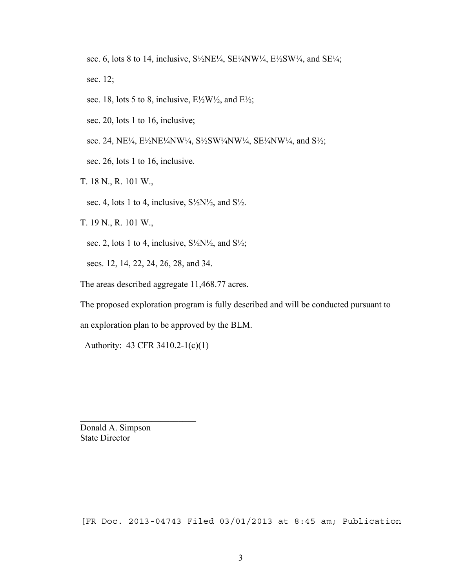sec. 6, lots 8 to 14, inclusive,  $S\frac{1}{2}NE\frac{1}{4}$ ,  $SE\frac{1}{4}NW\frac{1}{4}$ ,  $E\frac{1}{2}SW\frac{1}{4}$ , and  $SE\frac{1}{4}$ ; sec. 12;

sec. 18, lots 5 to 8, inclusive,  $E\frac{1}{2}W\frac{1}{2}$ , and  $E\frac{1}{2}$ ;

sec. 20, lots 1 to 16, inclusive;

sec. 24, NE¼, E½NE¼NW¼, S½SW¼NW¼, SE¼NW¼, and S½;

sec. 26, lots 1 to 16, inclusive.

T. 18 N., R. 101 W.,

sec. 4, lots 1 to 4, inclusive,  $S\frac{1}{2}N\frac{1}{2}$ , and  $S\frac{1}{2}$ .

T. 19 N., R. 101 W.,

sec. 2, lots 1 to 4, inclusive,  $S\frac{1}{2}N\frac{1}{2}$ , and  $S\frac{1}{2}$ ;

secs. 12, 14, 22, 24, 26, 28, and 34.

The areas described aggregate 11,468.77 acres.

The proposed exploration program is fully described and will be conducted pursuant to

an exploration plan to be approved by the BLM.

Authority: 43 CFR 3410.2-1(c)(1)

 $\mathcal{L}_\text{max}$  , where  $\mathcal{L}_\text{max}$  and  $\mathcal{L}_\text{max}$ 

Donald A. Simpson State Director

[FR Doc. 2013-04743 Filed 03/01/2013 at 8:45 am; Publication